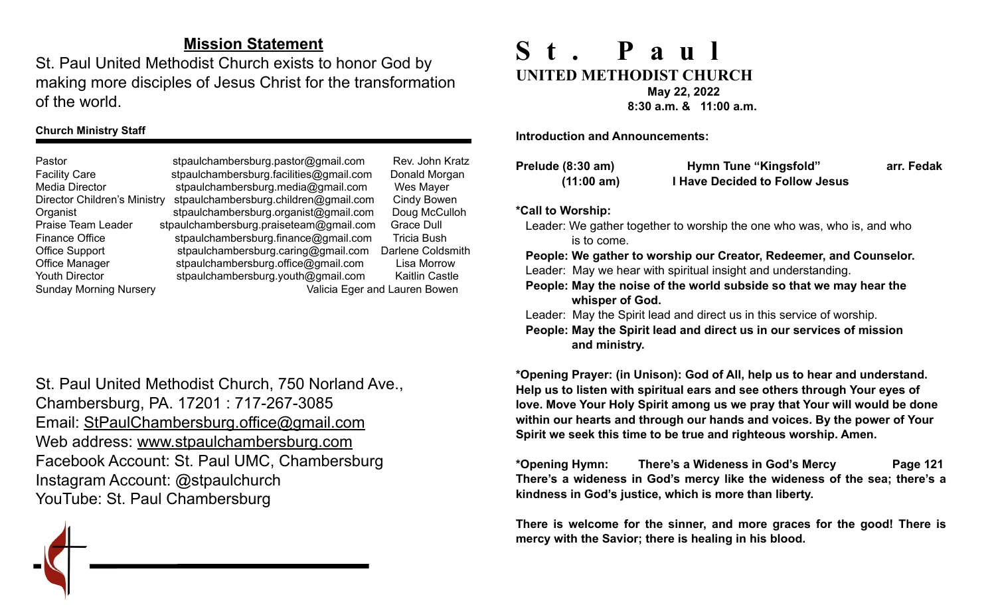# **Mission Statement**

St. Paul United Methodist Church exists to honor God by making more disciples of Jesus Christ for the transformation of the world.

#### **Church Ministry Staff**

Pastor stpaulchambersburg.pastor@gmail.com Rev. John Kratz Facility Care stpaulchambersburg.facilities@gmail.com Donald Morgan Media Director [stpaulchambersburg.media@gmail.com](mailto:stpaulchambersburg.media@gmail.com) Wes Mayer Director Children's Ministry stpaulchambersburg.children@gmail.com Cindy Bowen Organist stpaulchambersburg.organist@gmail.com Doug McCulloh Praise Team Leader stpaulchambersburg.praiseteam@gmail.com Grace Dull Finance Office stpaulchambersburg.finance@gmail.com Tricia Bush Office Support stpaulchambersburg.caring@gmail.com Darlene Coldsmith Office Manager stpaulchambersburg.office@gmail.com Lisa Morrow Youth Director [stpaulchambersburg.youth@gmail.com](mailto:stpaulchambersburg.youth@gmail.com) Kaitlin Castle Sunday Morning Nursery Valicia Eger and Lauren Bowen

St. Paul United Methodist Church, 750 Norland Ave., Chambersburg, PA. 17201 : 717-267-3085 Email: [StPaulChambersburg.office@gmail.com](mailto:StPaulChambersburg.office@gmail.com) Web address: [www.stpaulchambersburg.com](http://www.stpaulchambersburg.com) Facebook Account: St. Paul UMC, Chambersburg Instagram Account: @stpaulchurch YouTube: St. Paul Chambersburg

# **St. Paul UNITED METHODIST CHURCH May 22, 2022**

 **8:30 a.m. & 11:00 a.m.** 

**Introduction and Announcements:** 

| Prelude (8:30 am) | <b>Hymn Tune "Kingsfold"</b>          | arr. Fedak |
|-------------------|---------------------------------------|------------|
| (11:00 am)        | <b>I Have Decided to Follow Jesus</b> |            |

#### **\*Call to Worship:**

Leader: We gather together to worship the one who was, who is, and who is to come.

 **People: We gather to worship our Creator, Redeemer, and Counselor.** Leader: May we hear with spiritual insight and understanding.

 **People: May the noise of the world subside so that we may hear the whisper of God.**

Leader:May the Spirit lead and direct us in this service of worship.

 **People: May the Spirit lead and direct us in our services of mission and ministry.**

**\*Opening Prayer: (in Unison): God of All, help us to hear and understand. Help us to listen with spiritual ears and see others through Your eyes of love. Move Your Holy Spirit among us we pray that Your will would be done within our hearts and through our hands and voices. By the power of Your Spirit we seek this time to be true and righteous worship. Amen.**

**\*Opening Hymn: There's a Wideness in God's Mercy Page 121 There's a wideness in God's mercy like the wideness of the sea; there's a kindness in God's justice, which is more than liberty.**

**There is welcome for the sinner, and more graces for the good! There is mercy with the Savior; there is healing in his blood.**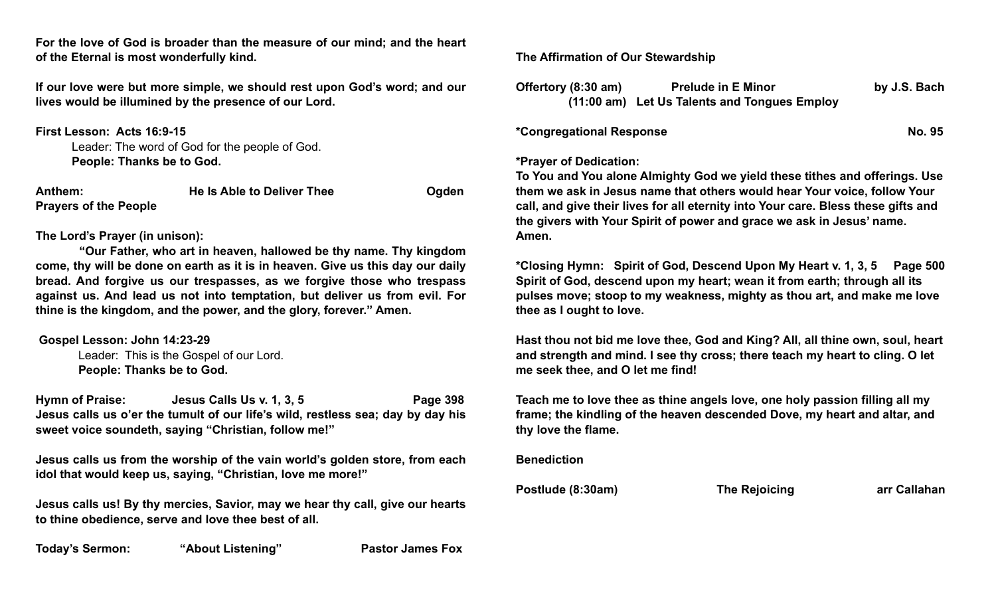**For the love of God is broader than the measure of our mind; and the heart of the Eternal is most wonderfully kind.**

**If our love were but more simple, we should rest upon God's word; and our lives would be illumined by the presence of our Lord.**

**First Lesson: Acts 16:9-15**

Leader: The word of God for the people of God. **People: Thanks be to God.**

| Anthem:                      | He Is Able to Deliver Thee | Ogden |
|------------------------------|----------------------------|-------|
| <b>Prayers of the People</b> |                            |       |

#### **The Lord's Prayer (in unison):**

 **"Our Father, who art in heaven, hallowed be thy name. Thy kingdom come, thy will be done on earth as it is in heaven. Give us this day our daily bread. And forgive us our trespasses, as we forgive those who trespass against us. And lead us not into temptation, but deliver us from evil. For thine is the kingdom, and the power, and the glory, forever." Amen.** 

#### **Gospel Lesson: John 14:23-29**

 Leader: This is the Gospel of our Lord. **People: Thanks be to God.** 

Hymn of Praise: Jesus Calls Us v. 1, 3, 5 Page 398 **Jesus calls us o'er the tumult of our life's wild, restless sea; day by day his sweet voice soundeth, saying "Christian, follow me!"**

**Jesus calls us from the worship of the vain world's golden store, from each idol that would keep us, saying, "Christian, love me more!"**

**Jesus calls us! By thy mercies, Savior, may we hear thy call, give our hearts to thine obedience, serve and love thee best of all.**

Today's Sermon: "About Listening" Pastor James Fox

### **The Affirmation of Our Stewardship**

| Offertory (8:30 am) | <b>Prelude in E Minor</b>                    | by J.S. Bach |
|---------------------|----------------------------------------------|--------------|
|                     | (11:00 am) Let Us Talents and Tongues Employ |              |

**\*Congregational Response No. 95**

#### **\*Prayer of Dedication:**

**To You and You alone Almighty God we yield these tithes and offerings. Use them we ask in Jesus name that others would hear Your voice, follow Your call, and give their lives for all eternity into Your care. Bless these gifts and the givers with Your Spirit of power and grace we ask in Jesus' name. Amen.**

**\*Closing Hymn: Spirit of God, Descend Upon My Heart v. 1, 3, 5 Page 500 Spirit of God, descend upon my heart; wean it from earth; through all its pulses move; stoop to my weakness, mighty as thou art, and make me love thee as I ought to love.**

**Hast thou not bid me love thee, God and King? All, all thine own, soul, heart and strength and mind. I see thy cross; there teach my heart to cling. O let me seek thee, and O let me find!**

**Teach me to love thee as thine angels love, one holy passion filling all my frame; the kindling of the heaven descended Dove, my heart and altar, and thy love the flame.**

**Benediction** 

Postlude (8:30am) The Rejoicing arr Callahan